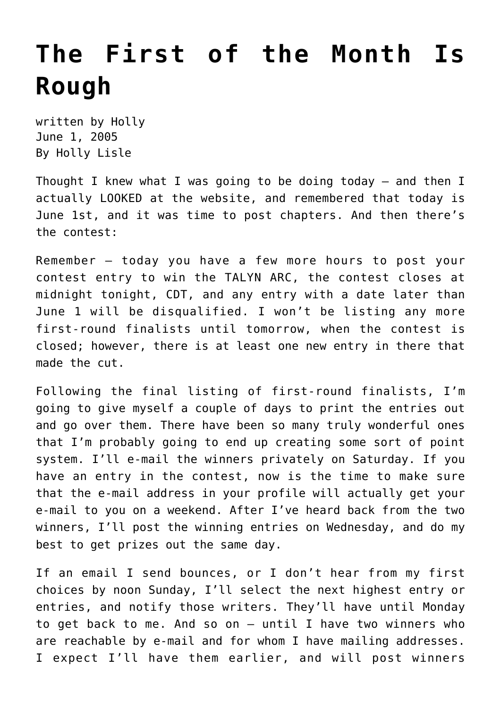## **[The First of the Month Is](https://hollylisle.com/the-first-of-the-month-is-rough/) [Rough](https://hollylisle.com/the-first-of-the-month-is-rough/)**

written by Holly June 1, 2005 [By Holly Lisle](https://hollylisle.com)

Thought I knew what I was going to be doing today — and then I actually LOOKED at the website, and remembered that today is June 1st, and it was time to post chapters. And then there's the contest:

Remember — today you have a few more hours to post your contest entry to win the TALYN ARC, the contest closes at midnight tonight, CDT, and any entry with a date later than June 1 will be disqualified. I won't be listing any more first-round finalists until tomorrow, when the contest is closed; however, there is at least one new entry in there that made the cut.

Following the final listing of first-round finalists, I'm going to give myself a couple of days to print the entries out and go over them. There have been so many truly wonderful ones that I'm probably going to end up creating some sort of point system. I'll e-mail the winners privately on Saturday. If you have an entry in the contest, now is the time to make sure that the e-mail address in your profile will actually get your e-mail to you on a weekend. After I've heard back from the two winners, I'll post the winning entries on Wednesday, and do my best to get prizes out the same day.

If an email I send bounces, or I don't hear from my first choices by noon Sunday, I'll select the next highest entry or entries, and notify those writers. They'll have until Monday to get back to me. And so on — until I have two winners who are reachable by e-mail and for whom I have mailing addresses. I expect I'll have them earlier, and will post winners